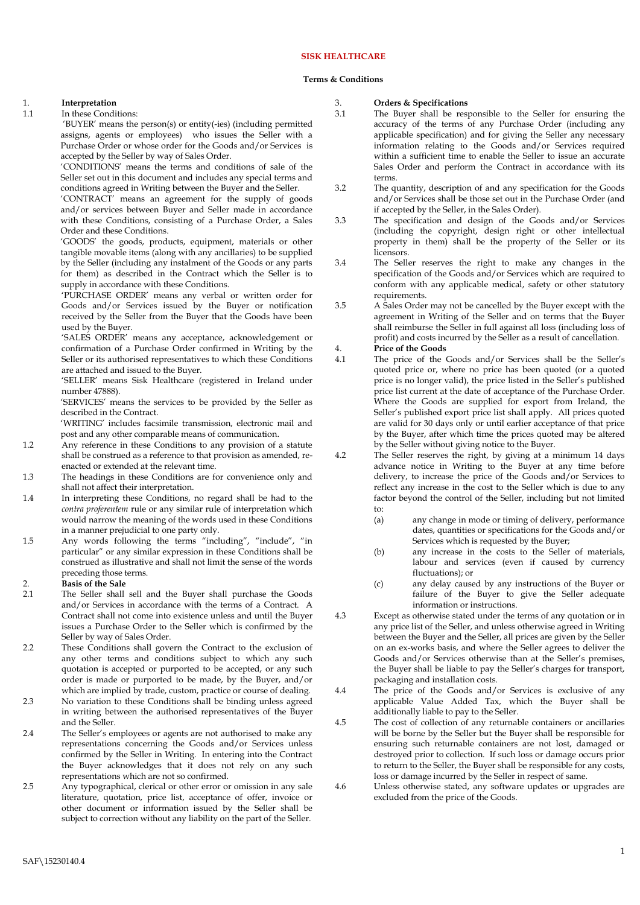## **SISK HEALTHCARE**

#### **Terms & Conditions**

### 1. **Interpretation**

#### 1.1 In these Conditions:

'BUYER' means the person(s) or entity(-ies) (including permitted assigns, agents or employees) who issues the Seller with a Purchase Order or whose order for the Goods and/or Services is accepted by the Seller by way of Sales Order.

'CONDITIONS' means the terms and conditions of sale of the Seller set out in this document and includes any special terms and conditions agreed in Writing between the Buyer and the Seller.

'CONTRACT' means an agreement for the supply of goods and/or services between Buyer and Seller made in accordance with these Conditions, consisting of a Purchase Order, a Sales Order and these Conditions.

'GOODS' the goods, products, equipment, materials or other tangible movable items (along with any ancillaries) to be supplied by the Seller (including any instalment of the Goods or any parts for them) as described in the Contract which the Seller is to supply in accordance with these Conditions.

'PURCHASE ORDER' means any verbal or written order for Goods and/or Services issued by the Buyer or notification received by the Seller from the Buyer that the Goods have been used by the Buyer.

'SALES ORDER' means any acceptance, acknowledgement or confirmation of a Purchase Order confirmed in Writing by the Seller or its authorised representatives to which these Conditions are attached and issued to the Buyer.

'SELLER' means Sisk Healthcare (registered in Ireland under number 47888).

'SERVICES' means the services to be provided by the Seller as described in the Contract.

'WRITING' includes facsimile transmission, electronic mail and post and any other comparable means of communication.

- 1.2 Any reference in these Conditions to any provision of a statute shall be construed as a reference to that provision as amended, reenacted or extended at the relevant time.
- 1.3 The headings in these Conditions are for convenience only and shall not affect their interpretation.
- 1.4 In interpreting these Conditions, no regard shall be had to the *contra proferentem* rule or any similar rule of interpretation which would narrow the meaning of the words used in these Conditions in a manner prejudicial to one party only.
- 1.5 Any words following the terms "including", "include", "in particular" or any similar expression in these Conditions shall be construed as illustrative and shall not limit the sense of the words preceding those terms.

# 2. **Basis of the Sale**<br>2.1 The Seller shall

- The Seller shall sell and the Buyer shall purchase the Goods and/or Services in accordance with the terms of a Contract. A Contract shall not come into existence unless and until the Buyer issues a Purchase Order to the Seller which is confirmed by the Seller by way of Sales Order.
- 2.2 These Conditions shall govern the Contract to the exclusion of any other terms and conditions subject to which any such quotation is accepted or purported to be accepted, or any such order is made or purported to be made, by the Buyer, and/or which are implied by trade, custom, practice or course of dealing.
- 2.3 No variation to these Conditions shall be binding unless agreed in writing between the authorised representatives of the Buyer and the Seller.
- 2.4 The Seller's employees or agents are not authorised to make any representations concerning the Goods and/or Services unless confirmed by the Seller in Writing. In entering into the Contract the Buyer acknowledges that it does not rely on any such representations which are not so confirmed.
- 2.5 Any typographical, clerical or other error or omission in any sale literature, quotation, price list, acceptance of offer, invoice or other document or information issued by the Seller shall be subject to correction without any liability on the part of the Seller.

#### 3. **Orders & Specifications**

- 3.1 The Buyer shall be responsible to the Seller for ensuring the accuracy of the terms of any Purchase Order (including any applicable specification) and for giving the Seller any necessary information relating to the Goods and/or Services required within a sufficient time to enable the Seller to issue an accurate Sales Order and perform the Contract in accordance with its terms.
- 3.2 The quantity, description of and any specification for the Goods and/or Services shall be those set out in the Purchase Order (and if accepted by the Seller, in the Sales Order).
- 3.3 The specification and design of the Goods and/or Services (including the copyright, design right or other intellectual property in them) shall be the property of the Seller or its licensors.
- 3.4 The Seller reserves the right to make any changes in the specification of the Goods and/or Services which are required to conform with any applicable medical, safety or other statutory requirements.
- 3.5 A Sales Order may not be cancelled by the Buyer except with the agreement in Writing of the Seller and on terms that the Buyer shall reimburse the Seller in full against all loss (including loss of profit) and costs incurred by the Seller as a result of cancellation.

### 4. **Price of the Goods**

- 4.1 The price of the Goods and/or Services shall be the Seller's quoted price or, where no price has been quoted (or a quoted price is no longer valid), the price listed in the Seller's published price list current at the date of acceptance of the Purchase Order. Where the Goods are supplied for export from Ireland, the Seller's published export price list shall apply. All prices quoted are valid for 30 days only or until earlier acceptance of that price by the Buyer, after which time the prices quoted may be altered by the Seller without giving notice to the Buyer.
- 4.2 The Seller reserves the right, by giving at a minimum 14 days advance notice in Writing to the Buyer at any time before delivery, to increase the price of the Goods and/or Services to reflect any increase in the cost to the Seller which is due to any factor beyond the control of the Seller, including but not limited to:
	- (a) any change in mode or timing of delivery, performance dates, quantities or specifications for the Goods and/or Services which is requested by the Buyer;
	- (b) any increase in the costs to the Seller of materials, labour and services (even if caused by currency fluctuations); or
	- (c) any delay caused by any instructions of the Buyer or failure of the Buyer to give the Seller adequate information or instructions.
- 4.3 Except as otherwise stated under the terms of any quotation or in any price list of the Seller, and unless otherwise agreed in Writing between the Buyer and the Seller, all prices are given by the Seller on an ex-works basis, and where the Seller agrees to deliver the Goods and/or Services otherwise than at the Seller's premises, the Buyer shall be liable to pay the Seller's charges for transport, packaging and installation costs.
- 4.4 The price of the Goods and/or Services is exclusive of any applicable Value Added Tax, which the Buyer shall be additionally liable to pay to the Seller.
- 4.5 The cost of collection of any returnable containers or ancillaries will be borne by the Seller but the Buyer shall be responsible for ensuring such returnable containers are not lost, damaged or destroyed prior to collection. If such loss or damage occurs prior to return to the Seller, the Buyer shall be responsible for any costs, loss or damage incurred by the Seller in respect of same.
- 4.6 Unless otherwise stated, any software updates or upgrades are excluded from the price of the Goods.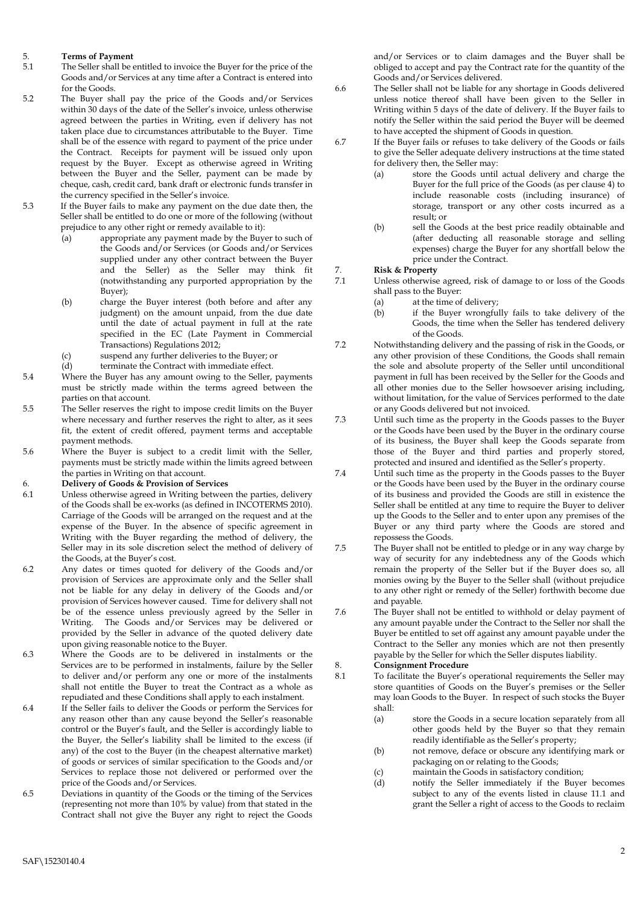## 5. **Terms of Payment**

- The Seller shall be entitled to invoice the Buyer for the price of the Goods and/or Services at any time after a Contract is entered into for the Goods.
- 5.2 The Buyer shall pay the price of the Goods and/or Services within 30 days of the date of the Seller's invoice, unless otherwise agreed between the parties in Writing, even if delivery has not taken place due to circumstances attributable to the Buyer. Time shall be of the essence with regard to payment of the price under the Contract. Receipts for payment will be issued only upon request by the Buyer. Except as otherwise agreed in Writing between the Buyer and the Seller, payment can be made by cheque, cash, credit card, bank draft or electronic funds transfer in the currency specified in the Seller's invoice.
- 5.3 If the Buyer fails to make any payment on the due date then, the Seller shall be entitled to do one or more of the following (without prejudice to any other right or remedy available to it):
	- (a) appropriate any payment made by the Buyer to such of the Goods and/or Services (or Goods and/or Services supplied under any other contract between the Buyer and the Seller) as the Seller may think fit (notwithstanding any purported appropriation by the Buyer);
	- (b) charge the Buyer interest (both before and after any judgment) on the amount unpaid, from the due date until the date of actual payment in full at the rate specified in the EC (Late Payment in Commercial Transactions) Regulations 2012;
	- (c) suspend any further deliveries to the Buyer; or
	- (d) terminate the Contract with immediate effect.
- 5.4 Where the Buyer has any amount owing to the Seller, payments must be strictly made within the terms agreed between the parties on that account.
- 5.5 The Seller reserves the right to impose credit limits on the Buyer where necessary and further reserves the right to alter, as it sees fit, the extent of credit offered, payment terms and acceptable payment methods.
- 5.6 Where the Buyer is subject to a credit limit with the Seller, payments must be strictly made within the limits agreed between the parties in Writing on that account.

#### 6. **Delivery of Goods & Provision of Services**

- 6.1 Unless otherwise agreed in Writing between the parties, delivery of the Goods shall be ex-works (as defined in INCOTERMS 2010). Carriage of the Goods will be arranged on the request and at the expense of the Buyer. In the absence of specific agreement in Writing with the Buyer regarding the method of delivery, the Seller may in its sole discretion select the method of delivery of the Goods, at the Buyer's cost.
- 6.2 Any dates or times quoted for delivery of the Goods and/or provision of Services are approximate only and the Seller shall not be liable for any delay in delivery of the Goods and/or provision of Services however caused. Time for delivery shall not be of the essence unless previously agreed by the Seller in Writing. The Goods and/or Services may be delivered or provided by the Seller in advance of the quoted delivery date upon giving reasonable notice to the Buyer.
- 6.3 Where the Goods are to be delivered in instalments or the Services are to be performed in instalments, failure by the Seller to deliver and/or perform any one or more of the instalments shall not entitle the Buyer to treat the Contract as a whole as repudiated and these Conditions shall apply to each instalment.
- 6.4 If the Seller fails to deliver the Goods or perform the Services for any reason other than any cause beyond the Seller's reasonable control or the Buyer's fault, and the Seller is accordingly liable to the Buyer, the Seller's liability shall be limited to the excess (if any) of the cost to the Buyer (in the cheapest alternative market) of goods or services of similar specification to the Goods and/or Services to replace those not delivered or performed over the price of the Goods and/or Services.
- 6.5 Deviations in quantity of the Goods or the timing of the Services (representing not more than 10% by value) from that stated in the Contract shall not give the Buyer any right to reject the Goods

and/or Services or to claim damages and the Buyer shall be obliged to accept and pay the Contract rate for the quantity of the Goods and/or Services delivered.

- 6.6 The Seller shall not be liable for any shortage in Goods delivered unless notice thereof shall have been given to the Seller in Writing within 5 days of the date of delivery. If the Buyer fails to notify the Seller within the said period the Buyer will be deemed to have accepted the shipment of Goods in question.
- 6.7 If the Buyer fails or refuses to take delivery of the Goods or fails to give the Seller adequate delivery instructions at the time stated for delivery then, the Seller may:
	- (a) store the Goods until actual delivery and charge the Buyer for the full price of the Goods (as per clause 4) to include reasonable costs (including insurance) of storage, transport or any other costs incurred as a result; or
	- (b) sell the Goods at the best price readily obtainable and (after deducting all reasonable storage and selling expenses) charge the Buyer for any shortfall below the price under the Contract.

# 7. **Risk & Property**

- Unless otherwise agreed, risk of damage to or loss of the Goods shall pass to the Buyer:
	- (a) at the time of delivery;
	- (b) if the Buyer wrongfully fails to take delivery of the Goods, the time when the Seller has tendered delivery of the Goods.
- 7.2 Notwithstanding delivery and the passing of risk in the Goods, or any other provision of these Conditions, the Goods shall remain the sole and absolute property of the Seller until unconditional payment in full has been received by the Seller for the Goods and all other monies due to the Seller howsoever arising including, without limitation, for the value of Services performed to the date or any Goods delivered but not invoiced.
- 7.3 Until such time as the property in the Goods passes to the Buyer or the Goods have been used by the Buyer in the ordinary course of its business, the Buyer shall keep the Goods separate from those of the Buyer and third parties and properly stored, protected and insured and identified as the Seller's property.
- 7.4 Until such time as the property in the Goods passes to the Buyer or the Goods have been used by the Buyer in the ordinary course of its business and provided the Goods are still in existence the Seller shall be entitled at any time to require the Buyer to deliver up the Goods to the Seller and to enter upon any premises of the Buyer or any third party where the Goods are stored and repossess the Goods.
- 7.5 The Buyer shall not be entitled to pledge or in any way charge by way of security for any indebtedness any of the Goods which remain the property of the Seller but if the Buyer does so, all monies owing by the Buyer to the Seller shall (without prejudice to any other right or remedy of the Seller) forthwith become due and payable.
- 7.6 The Buyer shall not be entitled to withhold or delay payment of any amount payable under the Contract to the Seller nor shall the Buyer be entitled to set off against any amount payable under the Contract to the Seller any monies which are not then presently payable by the Seller for which the Seller disputes liability.

### 8. **Consignment Procedure**

- 8.1 To facilitate the Buyer's operational requirements the Seller may store quantities of Goods on the Buyer's premises or the Seller may loan Goods to the Buyer. In respect of such stocks the Buyer shall:
	- (a) store the Goods in a secure location separately from all other goods held by the Buyer so that they remain readily identifiable as the Seller's property;
	- (b) not remove, deface or obscure any identifying mark or packaging on or relating to the Goods;
		-
	- (c) maintain the Goods in satisfactory condition;<br>(d) notify the Seller immediately if the Buve notify the Seller immediately if the Buyer becomes subject to any of the events listed in clause 11.1 and grant the Seller a right of access to the Goods to reclaim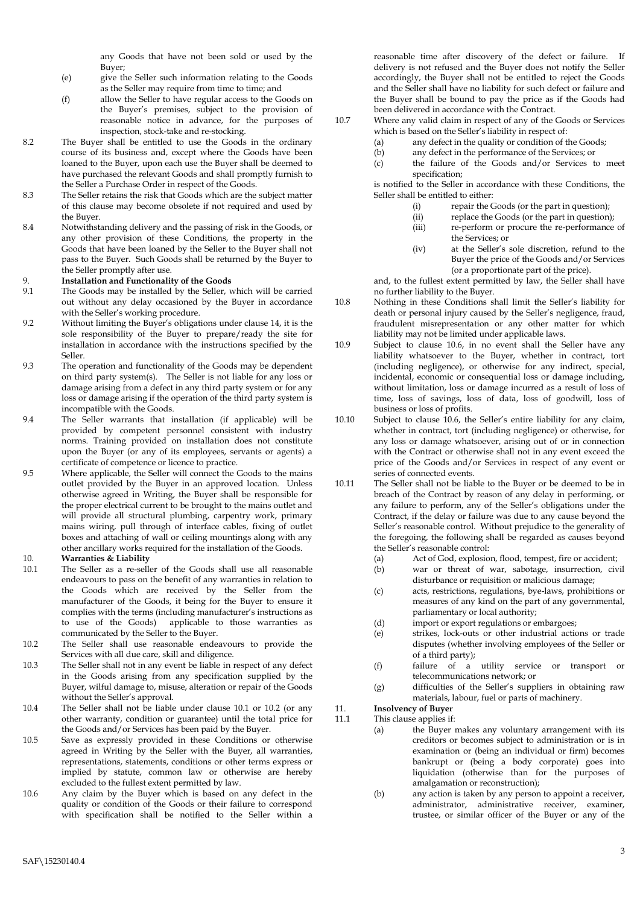any Goods that have not been sold or used by the Buyer;

- (e) give the Seller such information relating to the Goods as the Seller may require from time to time; and
- (f) allow the Seller to have regular access to the Goods on the Buyer's premises, subject to the provision of reasonable notice in advance, for the purposes of inspection, stock-take and re-stocking.
- 8.2 The Buyer shall be entitled to use the Goods in the ordinary course of its business and, except where the Goods have been loaned to the Buyer, upon each use the Buyer shall be deemed to have purchased the relevant Goods and shall promptly furnish to the Seller a Purchase Order in respect of the Goods.
- 8.3 The Seller retains the risk that Goods which are the subject matter of this clause may become obsolete if not required and used by the Buyer.
- 8.4 Notwithstanding delivery and the passing of risk in the Goods, or any other provision of these Conditions, the property in the Goods that have been loaned by the Seller to the Buyer shall not pass to the Buyer. Such Goods shall be returned by the Buyer to the Seller promptly after use.

#### 9. **Installation and Functionality of the Goods**

- 9.1 The Goods may be installed by the Seller, which will be carried out without any delay occasioned by the Buyer in accordance with the Seller's working procedure.
- 9.2 Without limiting the Buyer's obligations under clause 14, it is the sole responsibility of the Buyer to prepare/ready the site for installation in accordance with the instructions specified by the Seller.
- 9.3 The operation and functionality of the Goods may be dependent on third party system(s). The Seller is not liable for any loss or damage arising from a defect in any third party system or for any loss or damage arising if the operation of the third party system is incompatible with the Goods.
- 9.4 The Seller warrants that installation (if applicable) will be provided by competent personnel consistent with industry norms. Training provided on installation does not constitute upon the Buyer (or any of its employees, servants or agents) a certificate of competence or licence to practice.
- 9.5 Where applicable, the Seller will connect the Goods to the mains outlet provided by the Buyer in an approved location. Unless otherwise agreed in Writing, the Buyer shall be responsible for the proper electrical current to be brought to the mains outlet and will provide all structural plumbing, carpentry work, primary mains wiring, pull through of interface cables, fixing of outlet boxes and attaching of wall or ceiling mountings along with any other ancillary works required for the installation of the Goods.

### 10. **Warranties & Liability**

- 10.1 The Seller as a re-seller of the Goods shall use all reasonable endeavours to pass on the benefit of any warranties in relation to the Goods which are received by the Seller from the manufacturer of the Goods, it being for the Buyer to ensure it complies with the terms (including manufacturer's instructions as to use of the Goods) applicable to those warranties as communicated by the Seller to the Buyer.
- 10.2 The Seller shall use reasonable endeavours to provide the Services with all due care, skill and diligence.
- 10.3 The Seller shall not in any event be liable in respect of any defect in the Goods arising from any specification supplied by the Buyer, wilful damage to, misuse, alteration or repair of the Goods without the Seller's approval.
- 10.4 The Seller shall not be liable under clause 10.1 or 10.2 (or any other warranty, condition or guarantee) until the total price for the Goods and/or Services has been paid by the Buyer.
- 10.5 Save as expressly provided in these Conditions or otherwise agreed in Writing by the Seller with the Buyer, all warranties, representations, statements, conditions or other terms express or implied by statute, common law or otherwise are hereby excluded to the fullest extent permitted by law.
- 10.6 Any claim by the Buyer which is based on any defect in the quality or condition of the Goods or their failure to correspond with specification shall be notified to the Seller within a

reasonable time after discovery of the defect or failure. If delivery is not refused and the Buyer does not notify the Seller accordingly, the Buyer shall not be entitled to reject the Goods and the Seller shall have no liability for such defect or failure and the Buyer shall be bound to pay the price as if the Goods had been delivered in accordance with the Contract.

- 10.7 Where any valid claim in respect of any of the Goods or Services which is based on the Seller's liability in respect of:
	- (a) any defect in the quality or condition of the Goods;
	- (b) any defect in the performance of the Services; or
	- (c) the failure of the Goods and/or Services to meet specification;

is notified to the Seller in accordance with these Conditions, the Seller shall be entitled to either:

- (i) repair the Goods (or the part in question);
- (ii) replace the Goods (or the part in question);
- (iii) re-perform or procure the re-performance of the Services; or
- (iv) at the Seller's sole discretion, refund to the Buyer the price of the Goods and/or Services (or a proportionate part of the price).

and, to the fullest extent permitted by law, the Seller shall have no further liability to the Buyer.

- 10.8 Nothing in these Conditions shall limit the Seller's liability for death or personal injury caused by the Seller's negligence, fraud, fraudulent misrepresentation or any other matter for which liability may not be limited under applicable laws.
- 10.9 Subject to clause 10.6, in no event shall the Seller have any liability whatsoever to the Buyer, whether in contract, tort (including negligence), or otherwise for any indirect, special, incidental, economic or consequential loss or damage including, without limitation, loss or damage incurred as a result of loss of time, loss of savings, loss of data, loss of goodwill, loss of business or loss of profits.
- 10.10 Subject to clause 10.6, the Seller's entire liability for any claim, whether in contract, tort (including negligence) or otherwise, for any loss or damage whatsoever, arising out of or in connection with the Contract or otherwise shall not in any event exceed the price of the Goods and/or Services in respect of any event or series of connected events.
- 10.11 The Seller shall not be liable to the Buyer or be deemed to be in breach of the Contract by reason of any delay in performing, or any failure to perform, any of the Seller's obligations under the Contract, if the delay or failure was due to any cause beyond the Seller's reasonable control. Without prejudice to the generality of the foregoing, the following shall be regarded as causes beyond the Seller's reasonable control:
	- (a) Act of God, explosion, flood, tempest, fire or accident;
	- (b) war or threat of war, sabotage, insurrection, civil disturbance or requisition or malicious damage;
	- (c) acts, restrictions, regulations, bye-laws, prohibitions or measures of any kind on the part of any governmental, parliamentary or local authority;
	- (d) import or export regulations or embargoes;
	- (e) strikes, lock-outs or other industrial actions or trade disputes (whether involving employees of the Seller or of a third party);
	- (f) failure of a utility service or transport or telecommunications network; or
	- (g) difficulties of the Seller's suppliers in obtaining raw materials, labour, fuel or parts of machinery.

## 11. **Insolvency of Buyer**

11.1 This clause applies if:

- (a) the Buyer makes any voluntary arrangement with its creditors or becomes subject to administration or is in examination or (being an individual or firm) becomes bankrupt or (being a body corporate) goes into liquidation (otherwise than for the purposes of amalgamation or reconstruction);
- (b) any action is taken by any person to appoint a receiver, administrator, administrative receiver, examiner, trustee, or similar officer of the Buyer or any of the